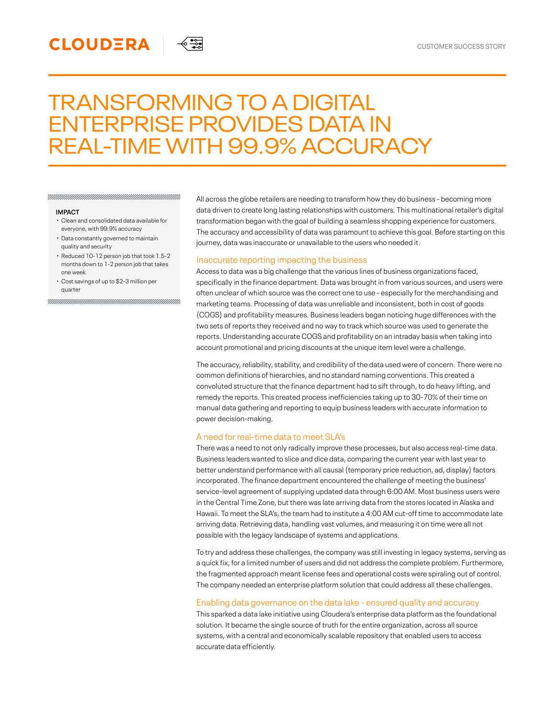# TRANSFORMING TO A DIGITAL ENTERPRISE PROVIDES DATA IN REAL-TIME WITH 99.9% ACCURACY

≼ -≊ਰ

#### **IMPACT**

Clean and consolidated data available for • everyone, with 99.9% accuracy

**CLOUDERA** 

- Data constantly governed to maintain quality and security
- Reduced 10-12 person job that took 1.5-2 months down to 1-2 person job that takes one week
- Cost savings of up to \$2-3 million per •quarter

All across the globe retailers are needing to transform how they do business - becoming more data driven to create long lasting relationships with customers. This multinational retailer's digital transformation began with the goal of building a seamless shopping experience for customers. The accuracy and accessibility of data was paramount to achieve this goal. Before starting on this journey, data was inaccurate or unavailable to the users who needed it.

# Inaccurate reporting impacting the business

Access to data was a big challenge that the various lines of business organizations faced, specifically in the finance department. Data was brought in from various sources, and users were often unclear of which source was the correct one to use - especially for the merchandising and marketing teams. Processing of data was unreliable and inconsistent, both in cost of goods (COGS) and profitability measures. Business leaders began noticing huge differences with the two sets of reports they received and no way to track which source was used to generate the reports. Understanding accurate COGS and profitability on an intraday basis when taking into account promotional and pricing discounts at the unique item level were a challenge.

The accuracy, reliability, stability, and credibility of the data used were of concern. There were no common definitions of hierarchies, and no standard naming conventions. This created a convoluted structure that the finance department had to sift through, to do heavy lifting, and remedy the reports. This created process inefficiencies taking up to 30-70% of their time on manual data gathering and reporting to equip business leaders with accurate information to power decision-making.

# A need for real-time data to meet SLA's

There was a need to not only radically improve these processes, but also access real-time data. Business leaders wanted to slice and dice data, comparing the current year with last year to better understand performance with all causal (temporary price reduction, ad, display) factors incorporated. The finance department encountered the challenge of meeting the business' service-level agreement of supplying updated data through 6:00 AM. Most business users were in the Central Time Zone, but there was late arriving data from the stores located in Alaska and Hawaii. To meet the SLA's, the team had to institute a 4:00 AM cut-off time to accommodate late arriving data. Retrieving data, handling vast volumes, and measuring it on time were all not possible with the legacy landscape of systems and applications.

To try and address these challenges, the company was still investing in legacy systems, serving as a quick fix, for a limited number of users and did not address the complete problem. Furthermore, the fragmented approach meant license fees and operational costs were spiraling out of control. The company needed an enterprise platform solution that could address all these challenges.

## Enabling data governance on the data lake - ensured quality and accuracy

This sparked a data lake initiative using Cloudera's enterprise data platform as the foundational solution. It became the single source of truth for the entire organization, across all source systems, with a central and economically scalable repository that enabled users to access accurate data efficiently.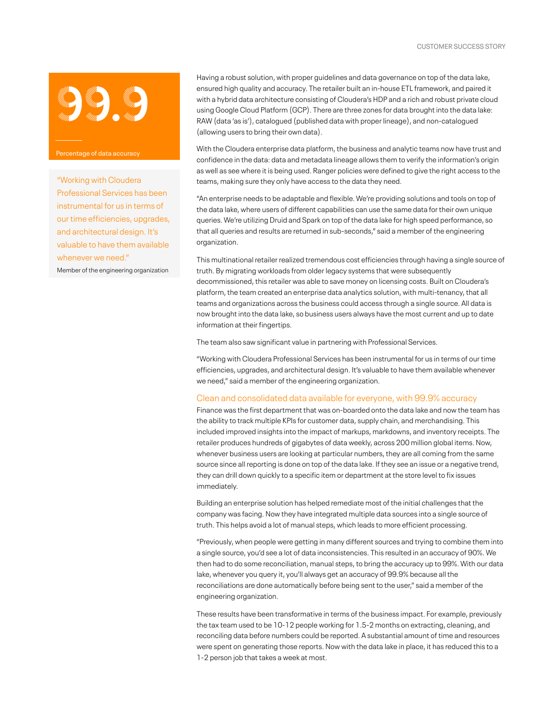

"Working with Cloudera Professional Services has been instrumental for us in terms of our time efficiencies, upgrades, and architectural design. It's valuable to have them available whenever we need." Member of the engineering organization

Having a robust solution, with proper guidelines and data governance on top of the data lake, ensured high quality and accuracy. The retailer built an in-house ETL framework, and paired it with a hybrid data architecture consisting of Cloudera's HDP and a rich and robust private cloud using Google Cloud Platform (GCP). There are three zones for data brought into the data lake: RAW (data 'as is'), catalogued (published data with proper lineage), and non-catalogued (allowing users to bring their own data).

With the Cloudera enterprise data platform, the business and analytic teams now have trust and confidence in the data: data and metadata lineage allows them to verify the information's origin as well as see where it is being used. Ranger policies were defined to give the right access to the teams, making sure they only have access to the data they need.

"An enterprise needs to be adaptable and flexible. We're providing solutions and tools on top of the data lake, where users of different capabilities can use the same data for their own unique queries. We're utilizing Druid and Spark on top of the data lake for high speed performance, so that all queries and results are returned in sub-seconds," said a member of the engineering organization.

This multinational retailer realized tremendous cost efficiencies through having a single source of truth. By migrating workloads from older legacy systems that were subsequently decommissioned, this retailer was able to save money on licensing costs. Built on Cloudera's platform, the team created an enterprise data analytics solution, with multi-tenancy, that all teams and organizations across the business could access through a single source. All data is now brought into the data lake, so business users always have the most current and up to date information at their fingertips.

The team also saw significant value in partnering with Professional Services.

"Working with Cloudera Professional Services has been instrumental for us in terms of our time efficiencies, upgrades, and architectural design. It's valuable to have them available whenever we need," said a member of the engineering organization.

### Clean and consolidated data available for everyone, with 99.9% accuracy

Finance was the first department that was on-boarded onto the data lake and now the team has the ability to track multiple KPIs for customer data, supply chain, and merchandising. This included improved insights into the impact of markups, markdowns, and inventory receipts. The retailer produces hundreds of gigabytes of data weekly, across 200 million global items. Now, whenever business users are looking at particular numbers, they are all coming from the same source since all reporting is done on top of the data lake. If they see an issue or a negative trend, they can drill down quickly to a specific item or department at the store level to fix issues immediately.

Building an enterprise solution has helped remediate most of the initial challenges that the company was facing. Now they have integrated multiple data sources into a single source of truth. This helps avoid a lot of manual steps, which leads to more efficient processing.

"Previously, when people were getting in many different sources and trying to combine them into a single source, you'd see a lot of data inconsistencies. This resulted in an accuracy of 90%. We then had to do some reconciliation, manual steps, to bring the accuracy up to 99%. With our data lake, whenever you query it, you'll always get an accuracy of 99.9% because all the reconciliations are done automatically before being sent to the user," said a member of the engineering organization.

These results have been transformative in terms of the business impact. For example, previously the tax team used to be 10-12 people working for 1.5-2 months on extracting, cleaning, and reconciling data before numbers could be reported. A substantial amount of time and resources were spent on generating those reports. Now with the data lake in place, it has reduced this to a 1-2 person job that takes a week at most.